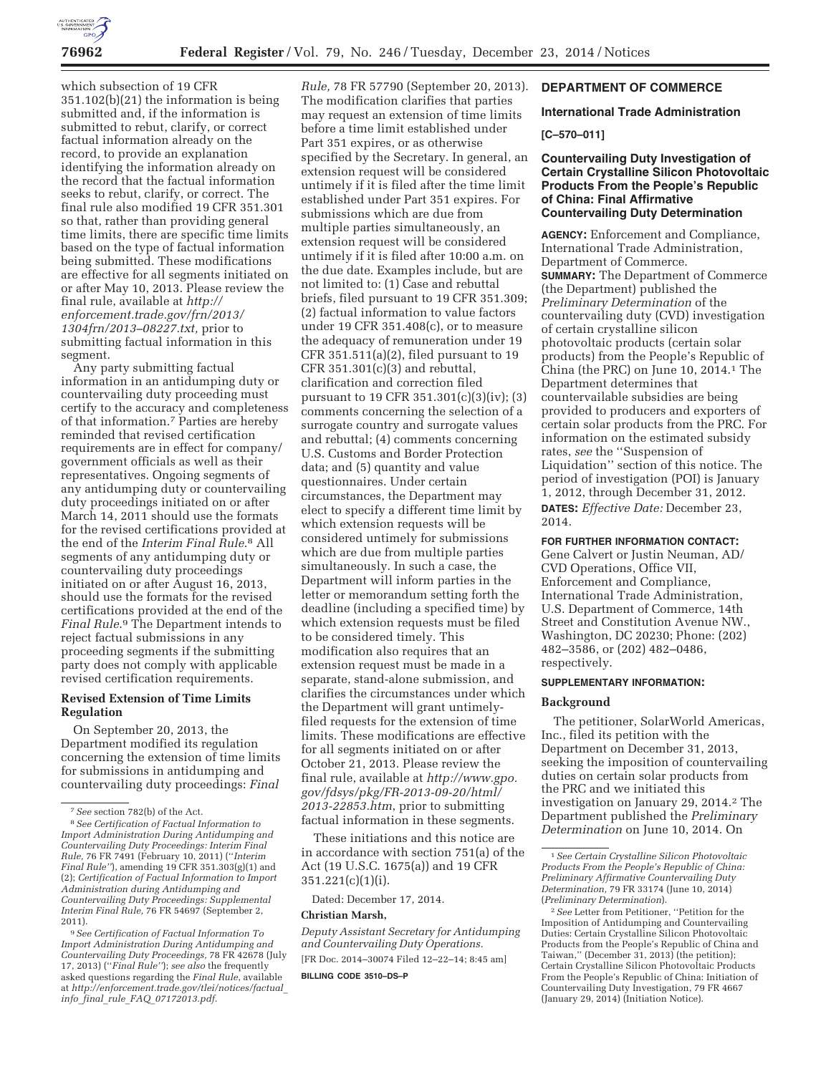

which subsection of 19 CFR 351.102(b)(21) the information is being submitted and, if the information is submitted to rebut, clarify, or correct factual information already on the record, to provide an explanation identifying the information already on the record that the factual information seeks to rebut, clarify, or correct. The final rule also modified 19 CFR 351.301 so that, rather than providing general time limits, there are specific time limits based on the type of factual information being submitted. These modifications are effective for all segments initiated on or after May 10, 2013. Please review the final rule, available at *http:// enforcement.trade.gov/frn/2013/ 1304frn/2013–08227.txt,* prior to submitting factual information in this segment.

Any party submitting factual information in an antidumping duty or countervailing duty proceeding must certify to the accuracy and completeness of that information.7 Parties are hereby reminded that revised certification requirements are in effect for company/ government officials as well as their representatives. Ongoing segments of any antidumping duty or countervailing duty proceedings initiated on or after March 14, 2011 should use the formats for the revised certifications provided at the end of the *Interim Final Rule*.8 All segments of any antidumping duty or countervailing duty proceedings initiated on or after August 16, 2013, should use the formats for the revised certifications provided at the end of the *Final Rule*.9 The Department intends to reject factual submissions in any proceeding segments if the submitting party does not comply with applicable revised certification requirements.

## **Revised Extension of Time Limits Regulation**

On September 20, 2013, the Department modified its regulation concerning the extension of time limits for submissions in antidumping and countervailing duty proceedings: *Final* 

*Rule,* 78 FR 57790 (September 20, 2013). The modification clarifies that parties may request an extension of time limits before a time limit established under Part 351 expires, or as otherwise specified by the Secretary. In general, an extension request will be considered untimely if it is filed after the time limit established under Part 351 expires. For submissions which are due from multiple parties simultaneously, an extension request will be considered untimely if it is filed after 10:00 a.m. on the due date. Examples include, but are not limited to: (1) Case and rebuttal briefs, filed pursuant to 19 CFR 351.309; (2) factual information to value factors under 19 CFR 351.408(c), or to measure the adequacy of remuneration under 19 CFR 351.511(a)(2), filed pursuant to 19 CFR 351.301(c)(3) and rebuttal, clarification and correction filed pursuant to 19 CFR 351.301(c)(3)(iv); (3) comments concerning the selection of a surrogate country and surrogate values and rebuttal; (4) comments concerning U.S. Customs and Border Protection data; and (5) quantity and value questionnaires. Under certain circumstances, the Department may elect to specify a different time limit by which extension requests will be considered untimely for submissions which are due from multiple parties simultaneously. In such a case, the Department will inform parties in the letter or memorandum setting forth the deadline (including a specified time) by which extension requests must be filed to be considered timely. This modification also requires that an extension request must be made in a separate, stand-alone submission, and clarifies the circumstances under which the Department will grant untimelyfiled requests for the extension of time limits. These modifications are effective for all segments initiated on or after October 21, 2013. Please review the final rule, available at *http://www.gpo. gov/fdsys/pkg/FR-2013-09-20/html/ 2013-22853.htm*, prior to submitting factual information in these segments.

These initiations and this notice are in accordance with section 751(a) of the Act (19 U.S.C. 1675(a)) and 19 CFR 351.221(c)(1)(i).

Dated: December 17, 2014.

#### **Christian Marsh,**

*Deputy Assistant Secretary for Antidumping and Countervailing Duty Operations.*  [FR Doc. 2014–30074 Filed 12–22–14; 8:45 am] **BILLING CODE 3510–DS–P** 

# **DEPARTMENT OF COMMERCE**

### **International Trade Administration**

### **[C–570–011]**

# **Countervailing Duty Investigation of Certain Crystalline Silicon Photovoltaic Products From the People's Republic of China: Final Affirmative Countervailing Duty Determination**

**AGENCY:** Enforcement and Compliance, International Trade Administration, Department of Commerce. **SUMMARY:** The Department of Commerce (the Department) published the *Preliminary Determination* of the countervailing duty (CVD) investigation of certain crystalline silicon photovoltaic products (certain solar products) from the People's Republic of China (the PRC) on June 10, 2014.1 The Department determines that countervailable subsidies are being provided to producers and exporters of certain solar products from the PRC. For information on the estimated subsidy rates, *see* the ''Suspension of Liquidation'' section of this notice. The period of investigation (POI) is January 1, 2012, through December 31, 2012.

**DATES:** *Effective Date:* December 23, 2014.

#### **FOR FURTHER INFORMATION CONTACT:**

Gene Calvert or Justin Neuman, AD/ CVD Operations, Office VII, Enforcement and Compliance, International Trade Administration, U.S. Department of Commerce, 14th Street and Constitution Avenue NW., Washington, DC 20230; Phone: (202) 482–3586, or (202) 482–0486, respectively.

### **SUPPLEMENTARY INFORMATION:**

#### **Background**

The petitioner, SolarWorld Americas, Inc., filed its petition with the Department on December 31, 2013, seeking the imposition of countervailing duties on certain solar products from the PRC and we initiated this investigation on January 29, 2014.<sup>2</sup> The Department published the *Preliminary Determination* on June 10, 2014. On

<sup>7</sup>*See* section 782(b) of the Act.

<sup>8</sup>*See Certification of Factual Information to Import Administration During Antidumping and Countervailing Duty Proceedings: Interim Final Rule,* 76 FR 7491 (February 10, 2011) (''*Interim Final Rule''*), amending 19 CFR 351.303(g)(1) and (2); *Certification of Factual Information to Import Administration during Antidumping and Countervailing Duty Proceedings: Supplemental Interim Final Rule,* 76 FR 54697 (September 2, 2011).

<sup>9</sup>*See Certification of Factual Information To Import Administration During Antidumping and Countervailing Duty Proceedings,* 78 FR 42678 (July 17, 2013) (''*Final Rule''*); *see also* the frequently asked questions regarding the *Final Rule*, available at *http://enforcement.trade.gov/tlei/notices/factual*\_ *info*\_*final*\_*rule*\_*FAQ*\_*07172013.pdf*.

<sup>1</sup>*See Certain Crystalline Silicon Photovoltaic Products From the People's Republic of China: Preliminary Affirmative Countervailing Duty Determination,* 79 FR 33174 (June 10, 2014) (*Preliminary Determination*).

<sup>2</sup>*See* Letter from Petitioner, ''Petition for the Imposition of Antidumping and Countervailing Duties: Certain Crystalline Silicon Photovoltaic Products from the People's Republic of China and Taiwan,'' (December 31, 2013) (the petition); Certain Crystalline Silicon Photovoltaic Products From the People's Republic of China: Initiation of Countervailing Duty Investigation, 79 FR 4667 (January 29, 2014) (Initiation Notice).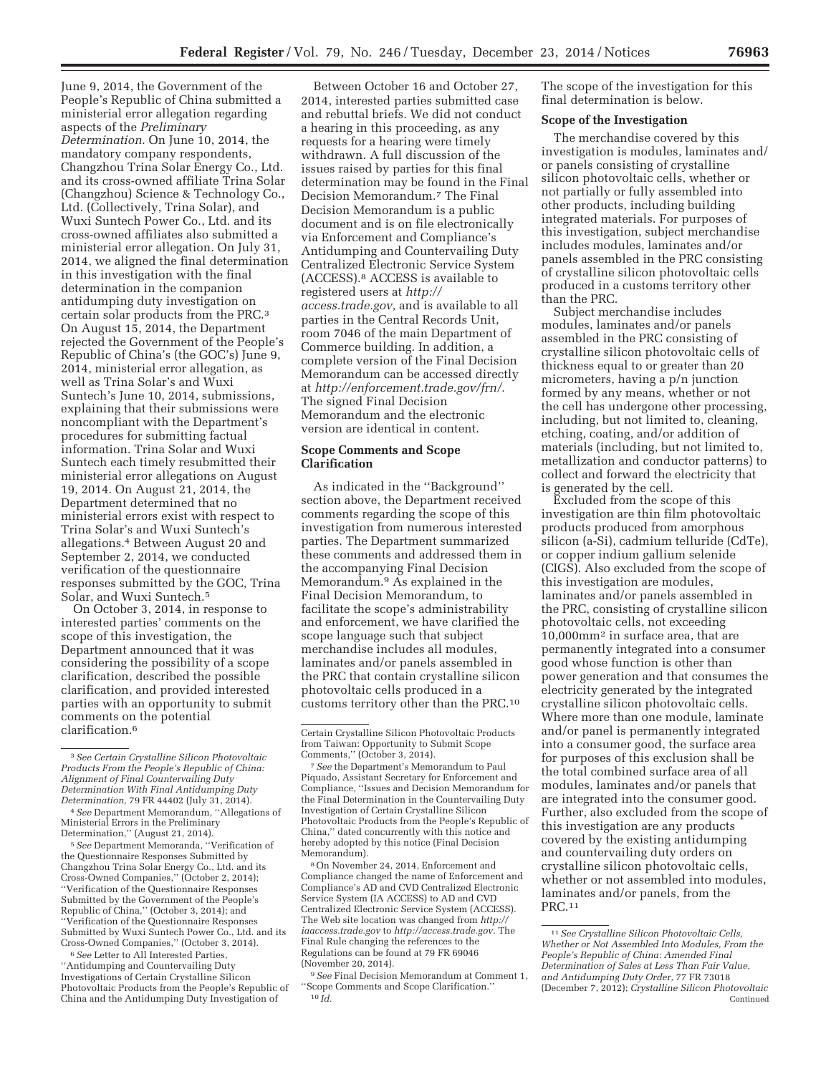June 9, 2014, the Government of the People's Republic of China submitted a ministerial error allegation regarding aspects of the *Preliminary Determination.* On June 10, 2014, the mandatory company respondents, Changzhou Trina Solar Energy Co., Ltd. and its cross-owned affiliate Trina Solar (Changzhou) Science & Technology Co., Ltd. (Collectively, Trina Solar), and Wuxi Suntech Power Co., Ltd. and its cross-owned affiliates also submitted a ministerial error allegation. On July 31, 2014, we aligned the final determination in this investigation with the final determination in the companion antidumping duty investigation on certain solar products from the PRC.3 On August 15, 2014, the Department rejected the Government of the People's Republic of China's (the GOC's) June 9, 2014, ministerial error allegation, as well as Trina Solar's and Wuxi Suntech's June 10, 2014, submissions, explaining that their submissions were noncompliant with the Department's procedures for submitting factual information. Trina Solar and Wuxi Suntech each timely resubmitted their ministerial error allegations on August 19, 2014. On August 21, 2014, the Department determined that no ministerial errors exist with respect to Trina Solar's and Wuxi Suntech's allegations.4 Between August 20 and September 2, 2014, we conducted verification of the questionnaire responses submitted by the GOC, Trina Solar, and Wuxi Suntech.5

On October 3, 2014, in response to interested parties' comments on the scope of this investigation, the Department announced that it was considering the possibility of a scope clarification, described the possible clarification, and provided interested parties with an opportunity to submit comments on the potential clarification.6

5*See* Department Memoranda, ''Verification of the Questionnaire Responses Submitted by Changzhou Trina Solar Energy Co., Ltd. and its Cross-Owned Companies,'' (October 2, 2014); ''Verification of the Questionnaire Responses Submitted by the Government of the People's Republic of China,'' (October 3, 2014); and ''Verification of the Questionnaire Responses Submitted by Wuxi Suntech Power Co., Ltd. and its Cross-Owned Companies,'' (October 3, 2014).

6*See* Letter to All Interested Parties, ''Antidumping and Countervailing Duty Investigations of Certain Crystalline Silicon Photovoltaic Products from the People's Republic of China and the Antidumping Duty Investigation of

Between October 16 and October 27, 2014, interested parties submitted case and rebuttal briefs. We did not conduct a hearing in this proceeding, as any requests for a hearing were timely withdrawn. A full discussion of the issues raised by parties for this final determination may be found in the Final Decision Memorandum.7 The Final Decision Memorandum is a public document and is on file electronically via Enforcement and Compliance's Antidumping and Countervailing Duty Centralized Electronic Service System (ACCESS).8 ACCESS is available to registered users at *http:// access.trade.gov,* and is available to all parties in the Central Records Unit, room 7046 of the main Department of Commerce building. In addition, a complete version of the Final Decision Memorandum can be accessed directly at *http://enforcement.trade.gov/frn/.*  The signed Final Decision Memorandum and the electronic version are identical in content.

## **Scope Comments and Scope Clarification**

As indicated in the ''Background'' section above, the Department received comments regarding the scope of this investigation from numerous interested parties. The Department summarized these comments and addressed them in the accompanying Final Decision Memorandum.9 As explained in the Final Decision Memorandum, to facilitate the scope's administrability and enforcement, we have clarified the scope language such that subject merchandise includes all modules, laminates and/or panels assembled in the PRC that contain crystalline silicon photovoltaic cells produced in a customs territory other than the PRC.10

8On November 24, 2014, Enforcement and Compliance changed the name of Enforcement and Compliance's AD and CVD Centralized Electronic Service System (IA ACCESS) to AD and CVD Centralized Electronic Service System (ACCESS). The Web site location was changed from *http:// iaaccess.trade.gov* to *http://access.trade.gov.* The Final Rule changing the references to the Regulations can be found at 79 FR 69046 (November 20, 2014).

9*See* Final Decision Memorandum at Comment 1, ''Scope Comments and Scope Clarification.'' 10 *Id.* 

The scope of the investigation for this final determination is below.

### **Scope of the Investigation**

The merchandise covered by this investigation is modules, laminates and/ or panels consisting of crystalline silicon photovoltaic cells, whether or not partially or fully assembled into other products, including building integrated materials. For purposes of this investigation, subject merchandise includes modules, laminates and/or panels assembled in the PRC consisting of crystalline silicon photovoltaic cells produced in a customs territory other than the PRC.

Subject merchandise includes modules, laminates and/or panels assembled in the PRC consisting of crystalline silicon photovoltaic cells of thickness equal to or greater than 20 micrometers, having a p/n junction formed by any means, whether or not the cell has undergone other processing, including, but not limited to, cleaning, etching, coating, and/or addition of materials (including, but not limited to, metallization and conductor patterns) to collect and forward the electricity that is generated by the cell.

Excluded from the scope of this investigation are thin film photovoltaic products produced from amorphous silicon (a-Si), cadmium telluride (CdTe), or copper indium gallium selenide (CIGS). Also excluded from the scope of this investigation are modules, laminates and/or panels assembled in the PRC, consisting of crystalline silicon photovoltaic cells, not exceeding 10,000mm2 in surface area, that are permanently integrated into a consumer good whose function is other than power generation and that consumes the electricity generated by the integrated crystalline silicon photovoltaic cells. Where more than one module, laminate and/or panel is permanently integrated into a consumer good, the surface area for purposes of this exclusion shall be the total combined surface area of all modules, laminates and/or panels that are integrated into the consumer good. Further, also excluded from the scope of this investigation are any products covered by the existing antidumping and countervailing duty orders on crystalline silicon photovoltaic cells, whether or not assembled into modules, laminates and/or panels, from the PRC.11

<sup>3</sup>*See Certain Crystalline Silicon Photovoltaic Products From the People's Republic of China: Alignment of Final Countervailing Duty Determination With Final Antidumping Duty Determination,* 79 FR 44402 (July 31, 2014).

<sup>4</sup>*See* Department Memorandum, ''Allegations of Ministerial Errors in the Preliminary Determination,'' (August 21, 2014).

Certain Crystalline Silicon Photovoltaic Products from Taiwan: Opportunity to Submit Scope Comments,'' (October 3, 2014).

<sup>7</sup>*See* the Department's Memorandum to Paul Piquado, Assistant Secretary for Enforcement and Compliance, ''Issues and Decision Memorandum for the Final Determination in the Countervailing Duty Investigation of Certain Crystalline Silicon Photovoltaic Products from the People's Republic of China,'' dated concurrently with this notice and hereby adopted by this notice (Final Decision Memorandum).

<sup>11</sup>*See Crystalline Silicon Photovoltaic Cells, Whether or Not Assembled Into Modules, From the People's Republic of China: Amended Final Determination of Sales at Less Than Fair Value, and Antidumping Duty Order,* 77 FR 73018 (December 7, 2012); *Crystalline Silicon Photovoltaic*  Continued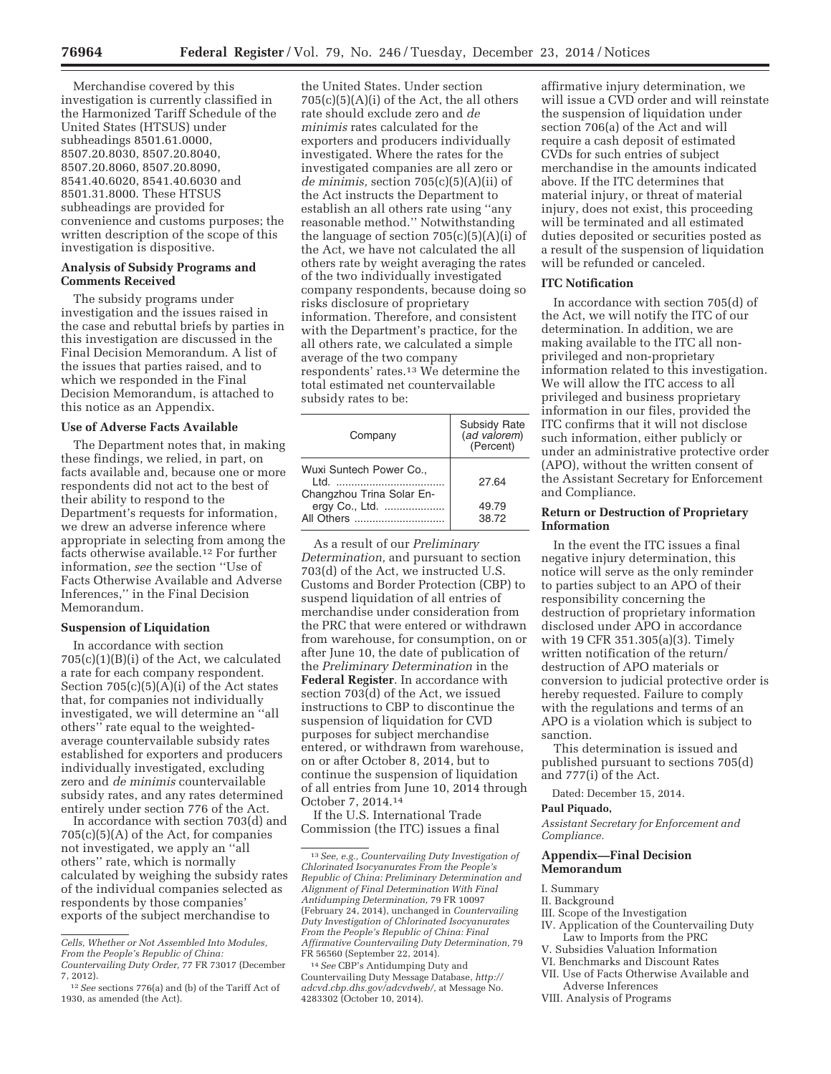Merchandise covered by this investigation is currently classified in the Harmonized Tariff Schedule of the United States (HTSUS) under subheadings 8501.61.0000, 8507.20.8030, 8507.20.8040, 8507.20.8060, 8507.20.8090, 8541.40.6020, 8541.40.6030 and 8501.31.8000. These HTSUS subheadings are provided for convenience and customs purposes; the written description of the scope of this investigation is dispositive.

# **Analysis of Subsidy Programs and Comments Received**

The subsidy programs under investigation and the issues raised in the case and rebuttal briefs by parties in this investigation are discussed in the Final Decision Memorandum. A list of the issues that parties raised, and to which we responded in the Final Decision Memorandum, is attached to this notice as an Appendix.

### **Use of Adverse Facts Available**

The Department notes that, in making these findings, we relied, in part, on facts available and, because one or more respondents did not act to the best of their ability to respond to the Department's requests for information, we drew an adverse inference where appropriate in selecting from among the facts otherwise available.12 For further information, *see* the section ''Use of Facts Otherwise Available and Adverse Inferences,'' in the Final Decision Memorandum.

# **Suspension of Liquidation**

In accordance with section  $705(c)(1)(B)(i)$  of the Act, we calculated a rate for each company respondent. Section 705(c)(5)(A)(i) of the Act states that, for companies not individually investigated, we will determine an ''all others'' rate equal to the weightedaverage countervailable subsidy rates established for exporters and producers individually investigated, excluding zero and *de minimis* countervailable subsidy rates, and any rates determined entirely under section 776 of the Act.

In accordance with section 703(d) and 705(c)(5)(A) of the Act, for companies not investigated, we apply an ''all others'' rate, which is normally calculated by weighing the subsidy rates of the individual companies selected as respondents by those companies' exports of the subject merchandise to

the United States. Under section  $705(c)(5)(A)(i)$  of the Act, the all others rate should exclude zero and *de minimis* rates calculated for the exporters and producers individually investigated. Where the rates for the investigated companies are all zero or *de minimis,* section 705(c)(5)(A)(ii) of the Act instructs the Department to establish an all others rate using ''any reasonable method.'' Notwithstanding the language of section  $705(c)(5)(A)(i)$  of the Act, we have not calculated the all others rate by weight averaging the rates of the two individually investigated company respondents, because doing so risks disclosure of proprietary information. Therefore, and consistent with the Department's practice, for the all others rate, we calculated a simple average of the two company respondents' rates.13 We determine the total estimated net countervailable subsidy rates to be:

| Company                                                                                      | Subsidy Rate<br>(ad valorem)<br>(Percent) |
|----------------------------------------------------------------------------------------------|-------------------------------------------|
| Wuxi Suntech Power Co.,<br>ht I<br>Changzhou Trina Solar En-<br>ergy Co., Ltd.<br>All Others | 27.64<br>49.79<br>38.72                   |

As a result of our *Preliminary Determination,* and pursuant to section 703(d) of the Act, we instructed U.S. Customs and Border Protection (CBP) to suspend liquidation of all entries of merchandise under consideration from the PRC that were entered or withdrawn from warehouse, for consumption, on or after June 10, the date of publication of the *Preliminary Determination* in the **Federal Register**. In accordance with section 703(d) of the Act, we issued instructions to CBP to discontinue the suspension of liquidation for CVD purposes for subject merchandise entered, or withdrawn from warehouse, on or after October 8, 2014, but to continue the suspension of liquidation of all entries from June 10, 2014 through October 7, 2014.14

If the U.S. International Trade Commission (the ITC) issues a final

affirmative injury determination, we will issue a CVD order and will reinstate the suspension of liquidation under section 706(a) of the Act and will require a cash deposit of estimated CVDs for such entries of subject merchandise in the amounts indicated above. If the ITC determines that material injury, or threat of material injury, does not exist, this proceeding will be terminated and all estimated duties deposited or securities posted as a result of the suspension of liquidation will be refunded or canceled.

### **ITC Notification**

In accordance with section 705(d) of the Act, we will notify the ITC of our determination. In addition, we are making available to the ITC all nonprivileged and non-proprietary information related to this investigation. We will allow the ITC access to all privileged and business proprietary information in our files, provided the ITC confirms that it will not disclose such information, either publicly or under an administrative protective order (APO), without the written consent of the Assistant Secretary for Enforcement and Compliance.

# **Return or Destruction of Proprietary Information**

In the event the ITC issues a final negative injury determination, this notice will serve as the only reminder to parties subject to an APO of their responsibility concerning the destruction of proprietary information disclosed under APO in accordance with 19 CFR 351.305(a)(3). Timely written notification of the return/ destruction of APO materials or conversion to judicial protective order is hereby requested. Failure to comply with the regulations and terms of an APO is a violation which is subject to sanction.

This determination is issued and published pursuant to sections 705(d) and 777(i) of the Act.

Dated: December 15, 2014.

#### **Paul Piquado,**

*Assistant Secretary for Enforcement and Compliance.* 

### **Appendix—Final Decision Memorandum**

- I. Summary
- II. Background
- III. Scope of the Investigation
- IV. Application of the Countervailing Duty Law to Imports from the PRC
- V. Subsidies Valuation Information
- VI. Benchmarks and Discount Rates
- VII. Use of Facts Otherwise Available and Adverse Inferences
- VIII. Analysis of Programs

*Cells, Whether or Not Assembled Into Modules, From the People's Republic of China:* 

*Countervailing Duty Order,* 77 FR 73017 (December 7, 2012).

<sup>12</sup>*See* sections 776(a) and (b) of the Tariff Act of 1930, as amended (the Act).

<sup>13</sup>*See, e.g., Countervailing Duty Investigation of Chlorinated Isocyanurates From the People's Republic of China: Preliminary Determination and Alignment of Final Determination With Final Antidumping Determination,* 79 FR 10097 (February 24, 2014), unchanged in *Countervailing Duty Investigation of Chlorinated Isocyanurates From the People's Republic of China: Final Affirmative Countervailing Duty Determination,* 79 FR 56560 (September 22, 2014).

<sup>14</sup>*See* CBP's Antidumping Duty and Countervailing Duty Message Database, *http:// adcvd.cbp.dhs.gov/adcvdweb/,* at Message No. 4283302 (October 10, 2014).